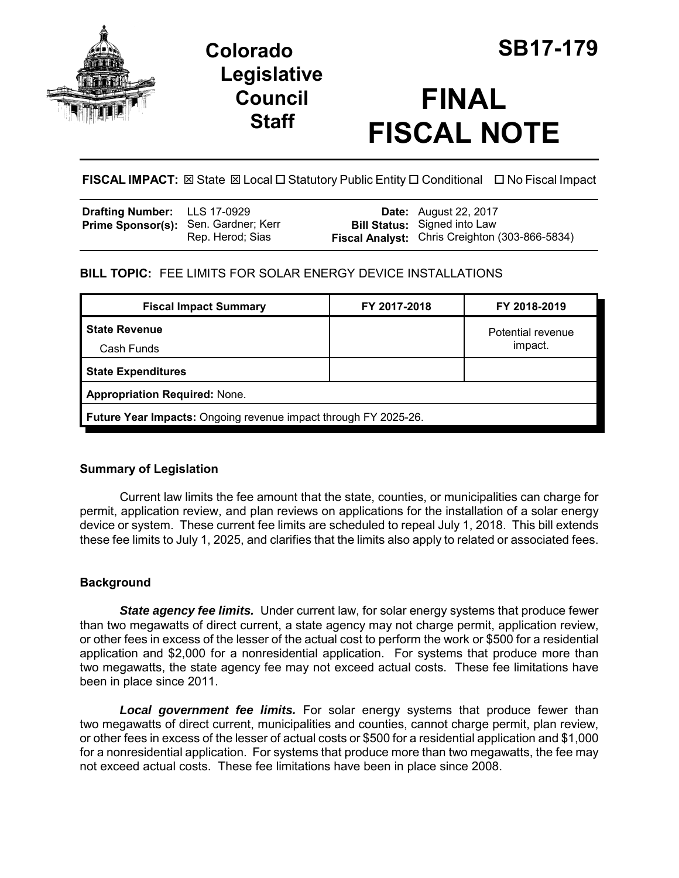

# **Colorado SB17-179 Legislative Council Staff**

# **FINAL FISCAL NOTE**

**FISCAL IMPACT:** ⊠ State ⊠ Local □ Statutory Public Entity □ Conditional □ No Fiscal Impact

| <b>Drafting Number:</b> LLS 17-0929         |                  | <b>Date:</b> August 22, 2017                                                          |
|---------------------------------------------|------------------|---------------------------------------------------------------------------------------|
| <b>Prime Sponsor(s):</b> Sen. Gardner; Kerr | Rep. Herod: Sias | <b>Bill Status:</b> Signed into Law<br>Fiscal Analyst: Chris Creighton (303-866-5834) |

# **BILL TOPIC:** FEE LIMITS FOR SOLAR ENERGY DEVICE INSTALLATIONS

| <b>Fiscal Impact Summary</b>                                    | FY 2017-2018 | FY 2018-2019      |  |  |  |
|-----------------------------------------------------------------|--------------|-------------------|--|--|--|
| <b>State Revenue</b>                                            |              | Potential revenue |  |  |  |
| Cash Funds                                                      |              | impact.           |  |  |  |
| <b>State Expenditures</b>                                       |              |                   |  |  |  |
| <b>Appropriation Required: None.</b>                            |              |                   |  |  |  |
| Future Year Impacts: Ongoing revenue impact through FY 2025-26. |              |                   |  |  |  |

# **Summary of Legislation**

Current law limits the fee amount that the state, counties, or municipalities can charge for permit, application review, and plan reviews on applications for the installation of a solar energy device or system. These current fee limits are scheduled to repeal July 1, 2018. This bill extends these fee limits to July 1, 2025, and clarifies that the limits also apply to related or associated fees.

# **Background**

**State agency fee limits.** Under current law, for solar energy systems that produce fewer than two megawatts of direct current, a state agency may not charge permit, application review, or other fees in excess of the lesser of the actual cost to perform the work or \$500 for a residential application and \$2,000 for a nonresidential application. For systems that produce more than two megawatts, the state agency fee may not exceed actual costs. These fee limitations have been in place since 2011.

*Local government fee limits.* For solar energy systems that produce fewer than two megawatts of direct current, municipalities and counties, cannot charge permit, plan review, or other fees in excess of the lesser of actual costs or \$500 for a residential application and \$1,000 for a nonresidential application. For systems that produce more than two megawatts, the fee may not exceed actual costs. These fee limitations have been in place since 2008.